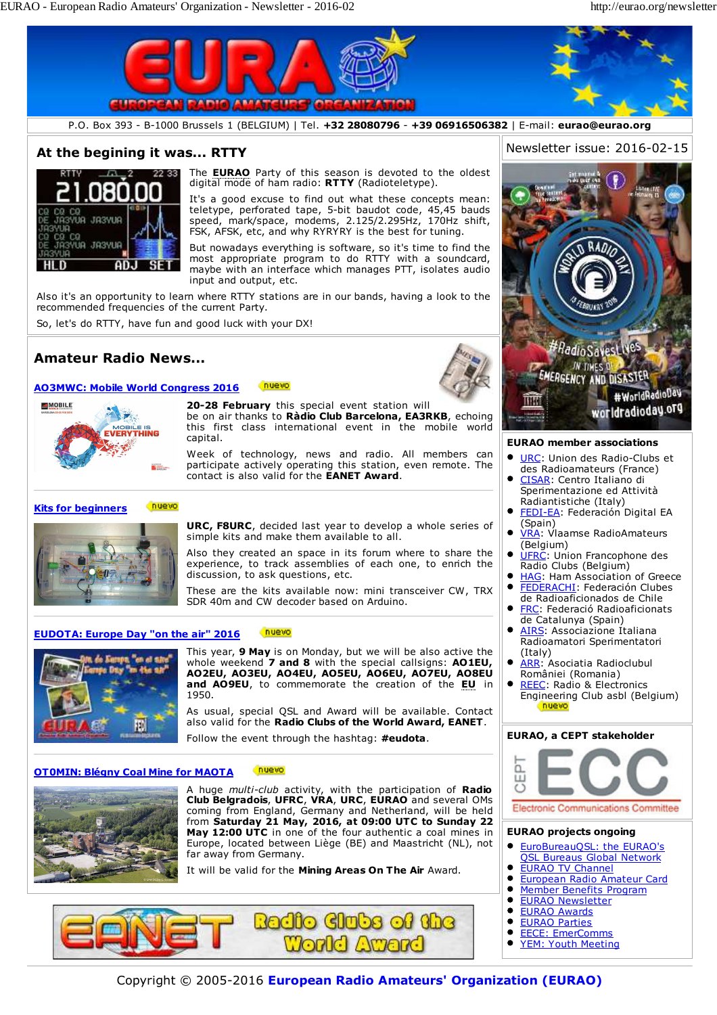

Copyright © 2005-2016 **European Radio Amateurs' Organization (EURAO)**